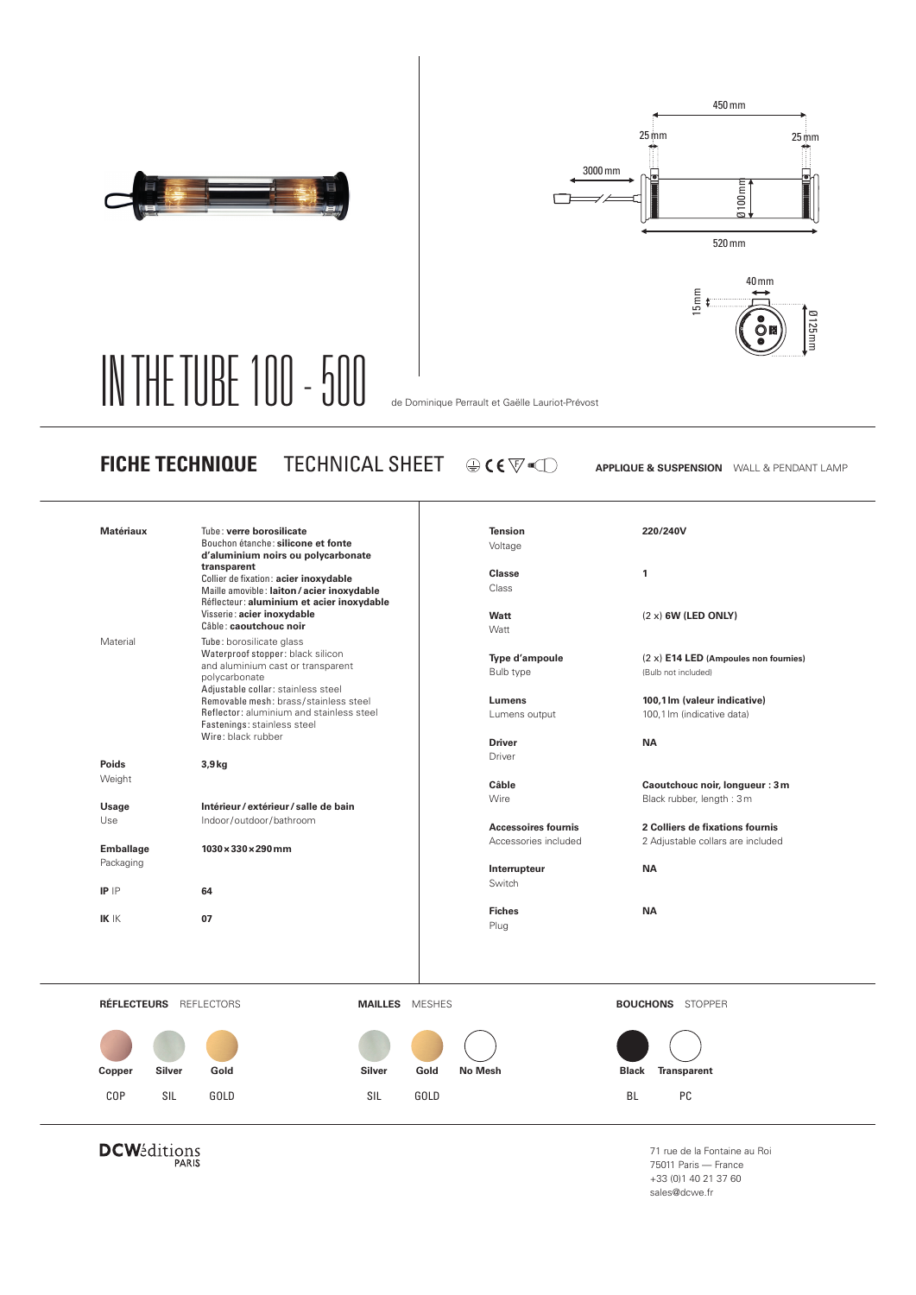





## IN THE TUBE 100 - 500 de Dominique Perrault et Gaëlle Lauriot-Prévost

**FICHE TECHNIQUE** TECHNICAL SHEET  $\circledast$  (  $\circledast$   $\circledast$  applique & suspension wall & pendant lamp

| <b>Matériaux</b>        | Tube: verre borosilicate<br>Bouchon étanche: silicone et fonte<br>d'aluminium noirs ou polycarbonate |                       | <b>Tension</b><br>Voltage  | 220/240V                                |
|-------------------------|------------------------------------------------------------------------------------------------------|-----------------------|----------------------------|-----------------------------------------|
|                         | transparent                                                                                          |                       | <b>Classe</b>              | $\mathbf{1}$                            |
|                         | Collier de fixation: acier inoxydable<br>Maille amovible: laiton / acier inoxydable                  |                       | Class                      |                                         |
|                         | Réflecteur: aluminium et acier inoxydable                                                            |                       |                            |                                         |
|                         | Visserie: acier inoxydable<br>Câble: caoutchouc noir                                                 |                       | Watt                       | $(2 x)$ 6W (LED ONLY)                   |
| Material                | Tube: borosilicate glass                                                                             |                       | Watt                       |                                         |
|                         | Waterproof stopper: black silicon                                                                    |                       | Type d'ampoule             | $(2 x)$ E14 LED (Ampoules non fournies) |
|                         | and aluminium cast or transparent                                                                    |                       | Bulb type                  | (Bulb not included)                     |
|                         | polycarbonate<br>Adjustable collar: stainless steel                                                  |                       |                            |                                         |
|                         | Removable mesh: brass/stainless steel                                                                |                       | Lumens                     | 100,1 lm (valeur indicative)            |
|                         | Reflector: aluminium and stainless steel                                                             |                       | Lumens output              | 100,1 lm (indicative data)              |
|                         | Fastenings: stainless steel<br>Wire: black rubber                                                    |                       |                            |                                         |
|                         |                                                                                                      |                       | <b>Driver</b><br>Driver    | <b>NA</b>                               |
| Poids                   | $3,9$ kg                                                                                             |                       |                            |                                         |
| Weight                  |                                                                                                      |                       | Câble                      | Caoutchouc noir, longueur : 3 m         |
|                         | Intérieur / extérieur / salle de bain                                                                |                       | Wire                       | Black rubber, length: 3m                |
| Usage<br>Use            | Indoor/outdoor/bathroom                                                                              |                       |                            |                                         |
|                         |                                                                                                      |                       | <b>Accessoires fournis</b> | 2 Colliers de fixations fournis         |
| <b>Emballage</b>        | $1030 \times 330 \times 290$ mm                                                                      |                       | Accessories included       | 2 Adjustable collars are included       |
| Packaging               |                                                                                                      |                       | Interrupteur               | <b>NA</b>                               |
|                         |                                                                                                      |                       | Switch                     |                                         |
| $IP$ $P$                | 64                                                                                                   |                       |                            |                                         |
| $IK$ $K$                | 07                                                                                                   |                       | <b>Fiches</b>              | <b>NA</b>                               |
|                         |                                                                                                      |                       | Plug                       |                                         |
|                         |                                                                                                      |                       |                            |                                         |
|                         |                                                                                                      |                       |                            |                                         |
|                         |                                                                                                      |                       |                            |                                         |
| RÉFLECTEURS REFLECTORS  |                                                                                                      | <b>MAILLES</b> MESHES |                            | <b>BOUCHONS</b> STOPPER                 |
|                         |                                                                                                      |                       |                            |                                         |
|                         |                                                                                                      |                       |                            |                                         |
|                         |                                                                                                      |                       |                            |                                         |
| <b>Silver</b><br>Copper | <b>Silver</b><br>Gold                                                                                | Gold                  | <b>No Mesh</b>             | <b>Transparent</b><br><b>Black</b>      |
|                         | GOLD<br>SIL                                                                                          | GOLD                  |                            | BL.<br>PC                               |
| <b>COP</b><br>SIL       |                                                                                                      |                       |                            |                                         |

**DCW**éditions

71 rue de la Fontaine au Roi 75011 Paris — France +33 (0)1 40 21 37 60 sales@dcwe.fr